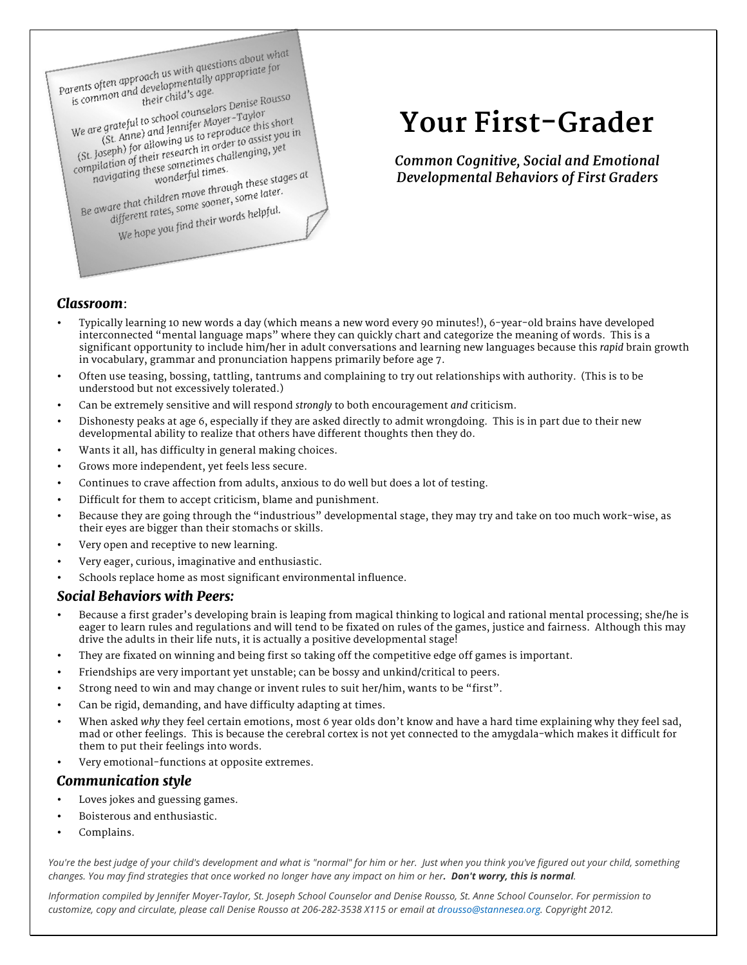Parents often approach us with questions about what<br>parents often approach us with questions about what

arents often approach us with questions about with<br>is common and developmentally appropriate for<br>their child's age.

is common and developments<br>is common and developments gae.<br>We are grateful to school counselors Denise Rousso<br>We are grateful to school counselors Denise his short<br>(St. Anne) and Jennifer Moyer-Taylor e grateful to school counselors Denise is<br>e grateful to school counselors – Taylor<br>(St. Anne) and Jennifer Moyer – Taylor<br>(St. Anne) for allowing us b in order to assist We are grateful to school counselors<br>(St. Anne) and Jennifer Moyer-Taylor<br>(St. Anne) and Jennifer Moyer-Taylor<br>(St. Joseph) for allowing us to reproduce this short<br>(St. Joseph) for allowing semetimes challenging, yet We are grateful to some<br>
(St. Anne) and Jennifer Moyer<br>
(St. Joseph) for allowing us to reproduce this short<br>
(St. Joseph) for allowing us to reproduce to assist you in<br>
compilation of their research in order to assist you (St. Anne, allowing us to represent to assist you<br>
Joseph) for allowing us to represent to assist you<br>
poilation of their research in order to assist you<br>
poilation of their research in order to diepoid these stage<br>
wonde

navigating these sometimes.<br>
navigating these stages at<br>
Be aware that children move through these stages at<br>
Be aware that children rows some sooner, some later. are that children move through these sus-<br>are that children move through these sus-<br>different rates, some sooner, some later. e that children some sooner, some<br>ifferent rates, some sooner, some<br>We hope you find their words helpful.

**Your First-Grader**

*Common Cognitive, Social and Emotional Developmental Behaviors of First Graders*

## *Classroom*:

- Typically learning 10 new words a day (which means a new word every 90 minutes!), 6-year-old brains have developed interconnected "mental language maps" where they can quickly chart and categorize the meaning of words. This is a significant opportunity to include him/her in adult conversations and learning new languages because this *rapid* brain growth in vocabulary, grammar and pronunciation happens primarily before age 7.
- Often use teasing, bossing, tattling, tantrums and complaining to try out relationships with authority. (This is to be understood but not excessively tolerated.)
- Can be extremely sensitive and will respond *strongly* to both encouragement *and* criticism.
- Dishonesty peaks at age 6, especially if they are asked directly to admit wrongdoing. This is in part due to their new developmental ability to realize that others have different thoughts then they do.
- Wants it all, has difficulty in general making choices.
- Grows more independent, yet feels less secure.
- Continues to crave affection from adults, anxious to do well but does a lot of testing.
- Difficult for them to accept criticism, blame and punishment.
- Because they are going through the "industrious" developmental stage, they may try and take on too much work-wise, as their eyes are bigger than their stomachs or skills.
- Very open and receptive to new learning.
- Very eager, curious, imaginative and enthusiastic.
- Schools replace home as most significant environmental influence.

### *Social Behaviors with Peers:*

- Because a first grader's developing brain is leaping from magical thinking to logical and rational mental processing; she/he is eager to learn rules and regulations and will tend to be fixated on rules of the games, justice and fairness. Although this may drive the adults in their life nuts, it is actually a positive developmental stage!
- They are fixated on winning and being first so taking off the competitive edge off games is important.
- Friendships are very important yet unstable; can be bossy and unkind/critical to peers.
- Strong need to win and may change or invent rules to suit her/him, wants to be "first".
- Can be rigid, demanding, and have difficulty adapting at times.
- When asked *why* they feel certain emotions, most 6 year olds don't know and have a hard time explaining why they feel sad, mad or other feelings. This is because the cerebral cortex is not yet connected to the amygdala-which makes it difficult for them to put their feelings into words.
- Very emotional-functions at opposite extremes.

### *Communication style*

- Loves jokes and guessing games.
- Boisterous and enthusiastic.
- Complains.

*You're the best judge of your child's development and what is "normal" for him or her. Just when you think you've figured out your child, something changes. You may find strategies that once worked no longer have any impact on him or her. Don't worry, this is normal.* 

*Information compiled by Jennifer Moyer-Taylor, St. Joseph School Counselor and Denise Rousso, St. Anne School Counselor. For permission to customize, copy and circulate, please call Denise Rousso at 206-282-3538 X115 or email at drousso@stannesea.org. Copyright 2012.*